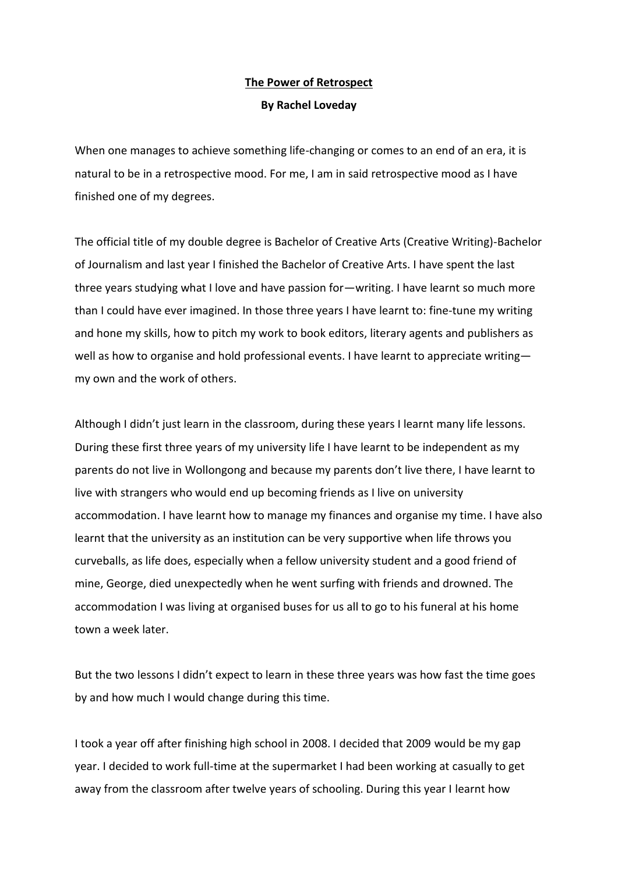## **The Power of Retrospect**

## **By Rachel Loveday**

When one manages to achieve something life-changing or comes to an end of an era, it is natural to be in a retrospective mood. For me, I am in said retrospective mood as I have finished one of my degrees.

The official title of my double degree is Bachelor of Creative Arts (Creative Writing)-Bachelor of Journalism and last year I finished the Bachelor of Creative Arts. I have spent the last three years studying what I love and have passion for—writing. I have learnt so much more than I could have ever imagined. In those three years I have learnt to: fine-tune my writing and hone my skills, how to pitch my work to book editors, literary agents and publishers as well as how to organise and hold professional events. I have learnt to appreciate writingmy own and the work of others.

Although I didn't just learn in the classroom, during these years I learnt many life lessons. During these first three years of my university life I have learnt to be independent as my parents do not live in Wollongong and because my parents don't live there, I have learnt to live with strangers who would end up becoming friends as I live on university accommodation. I have learnt how to manage my finances and organise my time. I have also learnt that the university as an institution can be very supportive when life throws you curveballs, as life does, especially when a fellow university student and a good friend of mine, George, died unexpectedly when he went surfing with friends and drowned. The accommodation I was living at organised buses for us all to go to his funeral at his home town a week later.

But the two lessons I didn't expect to learn in these three years was how fast the time goes by and how much I would change during this time.

I took a year off after finishing high school in 2008. I decided that 2009 would be my gap year. I decided to work full-time at the supermarket I had been working at casually to get away from the classroom after twelve years of schooling. During this year I learnt how